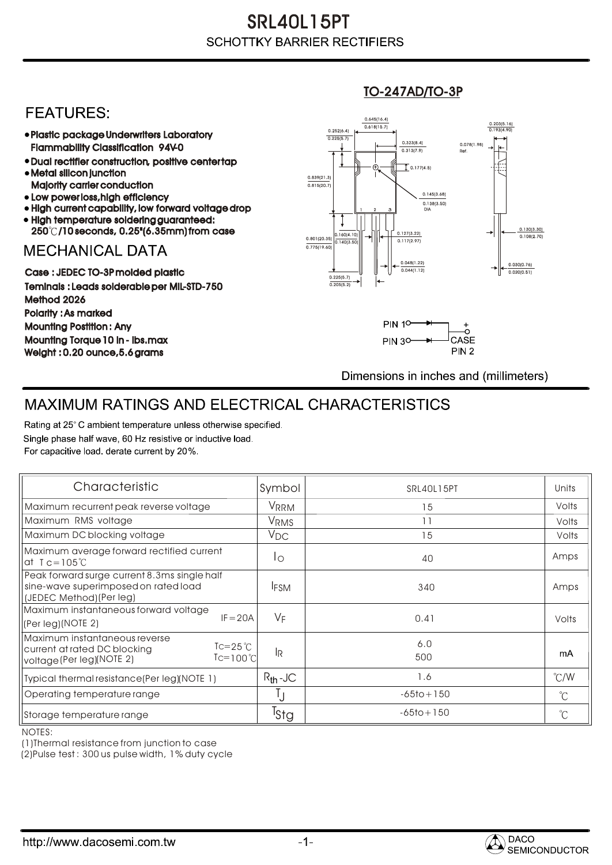# SRL40L15PT **SCHOTTKY BARRIER RECTIFIERS**

## **FEATURES:**

- Plastic package Underwriters Laboratory Flammability Classification 94V-0
- Dual rectifier construction, positive center tap Metal silicon junction
- Majority carrier conduction
- Low power loss, high efficiency
- High current capability, low forward voltage drop • High temperature soldering guaranteed:
- 250 /10 seconds, 0.25"(6.35mm) from case

### **MECHANICAL DATA**

Case : JEDEC TO-3P molded plastic Teminals : Leads solderable per MIL-STD-750 Method 2026 Polarity : As marked Mounting Postition : Any Mounting Torque 10 in - lbs.max Weight : 0.20 ounce,5.6 grams

#### 0.160(4.10)  $0.140(3)$ 0.127(3.22) 0.117(2.97) 0.030(0.76) 0.020(0.51) 0.801(20.35) 0.138(3.50) 0.145(3.68) 0.775(19.60) 0.839(21.3)<br>0.815(20.7) 0.252(6.4) 0.225(5.7)  $0.618(15.7)$ 0.645(16.4) 0.203(5.16) 0.193(4.90) 1 2 3 DIA  $\overline{1}$  0.177(4.5) 0.078(1.98) Ref. 0.130(3.30)<br>0.108(2.70) 0.225(5.7) 0.205(5.2)  $0.313(7.9)$ 0.323(8.4) 0.048(1.22) 0.044(1.12)

TO-247AD/TO-3P



Dimensions in inches and (millimeters)

# MAXIMUM RATINGS AND ELECTRICAL CHARACTERISTICS

Rating at 25° C ambient temperature unless otherwise specified. Single phase half wave, 60 Hz resistive or inductive load. For capacitive load, derate current by 20%.

| Characteristic                                                                                                                          | Symbol           | SRL40L15PT     | Units         |
|-----------------------------------------------------------------------------------------------------------------------------------------|------------------|----------------|---------------|
| Maximum recurrent peak reverse voltage                                                                                                  | <b>VRRM</b>      | 15             | Volts         |
| Maximum RMS voltage                                                                                                                     | VRMS             | 11             | Volts         |
| Maximum DC blocking voltage                                                                                                             | $V_{DC}$         | 15             | Volts         |
| Maximum average forward rectified current<br>at $T = 105^{\circ}C$                                                                      | $I_{\bigcirc}$   | 40             | Amps          |
| Peak forward surge current 8.3ms single half<br>sine-wave superimposed on rated load<br>(JEDEC Method) (Per leg)                        | <b>IFSM</b>      | 340            | Amps          |
| Maximum instantaneous forward voltage<br>$IF = 20A$<br>(Per leg)(NOTE 2)                                                                | $V_F$            | 0.41           | Volts         |
| Maximum instantaneous reverse<br>$Tc = 25^{\circ}C$<br>current at rated DC blocking<br>$Tc=100^{\circ}$ C<br>voltage (Per leg) (NOTE 2) | <b>IR</b>        | 6.0<br>500     | mA            |
| Typical thermal resistance(Per leg)(NOTE 1)                                                                                             | $R_{th}$ -JC     | 1.6            | $\degree$ C/W |
| Operating temperature range                                                                                                             |                  | $-65$ to + 150 | $^{\circ}C$   |
| Storage temperature range                                                                                                               | <sup>1</sup> Stg | $-65$ to + 150 | $^{\circ}C$   |

NOTES:

(1)Thermal resistance from junction to case

(2)Pulse test : 300 us pulse width, 1% duty cycle